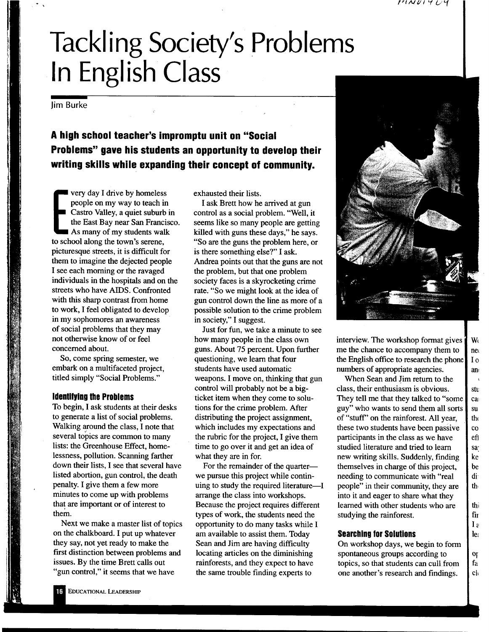# **Tackling Society's Problems In English Class**

lim Burke

**A high school teacher's impromptu unit on "Social Problems" gave his students an opportunity to develop their writing skills while expanding their concept of community.** 

people of<br>Castro V<sub>i</sub><br>the East<br>As many very day I drive by homeless people on my way to teach in Castro Valley, a quiet suburb in the East Bay near San Francisco. As many of my students walk to school along the town's serene, picturesque streets, it is difficult for them to imagine the dejected people I see each morning or the ravaged individuals in the hospitals and on the streets who have AIDS. Confronted with this sharp contrast from home to work, I feel obligated to develop in my sophomores an awareness of social problems that they may not otherwise know of or feel concerned about.

So, come spring semester, we embark on a multifaceted project, titled simply "Social Problems."

### **Identifying the Problems**

To begin, I ask students at their desks to generate a list of social problems. Walking around the class, I note that several topics are common to many lists: the Greenhouse Effect, homelessness, pollution. Scanning farther down their lists, I see that several have listed abortion, gun control, the death penalty. I give them a few more minutes to come up with problems that are important or of interest to

Next we make a master list of topics on the chalkboard. I put up whatever they say, not yet ready to make the first distinction between problems and issues. By the time Brett calls out "gun control," it seems that we have

exhausted their lists.

I ask Brett how he arrived at gun control as a social problem. "Well, it seems like so many people are getting killed with guns these days," he says. "So are the guns the problem here, or is there something else?" I ask. Andrea points out that the guns are not the problem, but that one problem society faces is a skyrocketing crime rate. "So we might look at the idea of gun control down the line as more of <sup>a</sup> possible solution to the crime problem in society," I suggest.

Just for fun, we take a minute to see how many people in the class own guns. About 75 percent. Upon further questioning, we learn that four students have used automatic weapons. I move on, thinking that gun control will probably not be a bigticket item when they come to solutions for the crime problem. After distributing the project assignment, which includes my expectations and the rubric for the project, I give them time to go over it and get an idea of what they are in for.

For the remainder of the quarterwe pursue this project while continuing to study the required literature $-I$ arrange the class into workshops. Because the project requires different types of work, the students need the opportunity to do many tasks while I am available to assist them. Today Sean and Jim are having difficulty locating articles on the diminishing rainforests, and they expect to have the same trouble finding experts to



interview. The workshop format gives  $\parallel$  W me the chance to accompany them to  $\parallel$  net the English office to research the phone  $\vert$  I o numbers of appropriate agencies.  $\blacksquare$  and

When Sean and Jim return to the class, their enthusiasm is obvious.  $\|\cdot\|$  stu They tell me that they talked to "some  $\Box$  can guy" who wants to send them all sorts  $\mathbf{\cdot}$  su of "stuff" on the rainforest. All year,  $\mathbf{t}$  the these two students have been passive  $\|\cdot\|$  co participants in the class as we have  $\|\cdot\|$ studied literature and tried to learn sa new writing skills. Suddenly, finding  $\parallel$  ke themselves in charge of this project,  $\|\cdot\|$  be needing to communicate with "real dipeople" in their community, they are  $\|\cdot\|$ into it and eager to share what they learned with other students who are  $\|\cdot\|$ studying the rainforest.  $\|\mathbf{f}\|$ 

#### **Searching for Solutions l** le:

On workshop days, we begin to form spontaneous groups according to  $\|\circ\|$ topics, so that students can cull from  $\parallel$  fa one another's research and findings.  $\|\cdot\|$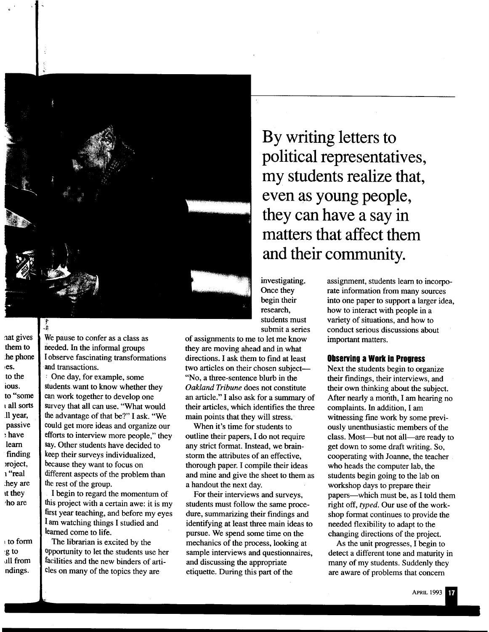

:1at gives them to :he phone .es. to the ious. to "some tall sorts Jl year, passive :have learn finding >roject, <sup>1</sup>"real ~hey are tt they •ho are

<sup>1</sup>to form ~g to ull from ndings.

We pause to confer as a class as needed. In the informal groups I observe fascinating transformations and transactions.

· One day, for example, some students want to know whether they can work together to develop one survey that all can use. "What would the advantage of that be?" I ask. "We could get more ideas and organize our efforts to interview more people," they say. Other students have decided to keep their surveys individualized, because they want to focus on different aspects of the problem than the rest of the group.

I begin to regard the momentum of this project with a certain awe: it is my first year teaching, and before my eyes I am watching things I studied and learned come to life.

The librarian is excited by the opportunity to let the students use her facilities and the new binders of articles on many of the topics they are

**By writing letters to political representatives, my students realize that, even as young people, they can have <sup>a</sup>say in matters that affect them and their community.** 

investigating. Once they begin their research, students must submit a series

of assignments to me to let me know they are moving ahead and in what directions. I ask them to find at least two articles on their chosen subject-"No, a three-sentence blurb in the *Oakland Tribune* does not constitute an article." I also ask for a summary of their articles, which identifies the three main points that they will stress.

When it's time for students to outline their papers, I do not require any strict format. Instead, we brainstorm the attributes of an effective, thorough paper. I compile their ideas and mine and give the sheet to them as a handout the next day.

For their interviews and surveys, students must follow the same procedure, summarizing their findings and identifying at least three main ideas to pursue. We spend some time on the mechanics of the process, looking at sample interviews and questionnaires, and discussing the appropriate etiquette. During this part of the

assignment, students learn to incorporate information from many sources into one paper to support a larger idea, how to interact with people in a variety of situations, and how to conduct serious discussions about important matters.

#### **Observing a Work in Progress**

Next the students begin to organize their findings, their interviews, and their own thinking about the subject. After nearly a month, I am hearing no complaints. In addition, I am witnessing fine work by some previously unenthusiastic members of the class. Most-but not all-are ready to get down to some draft writing. So, cooperating with Joanne, the teacher who heads the computer lab, the students begin going to the lab on workshop days to prepare their papers-which must be, as I told them right off, *typed.* Our use of the workshop format continues to provide the needed flexibility to adapt to the changing directions of the project.

As the unit progresses, I begin to detect a different tone and maturity in many of my students. Suddenly they are aware of problems that concern